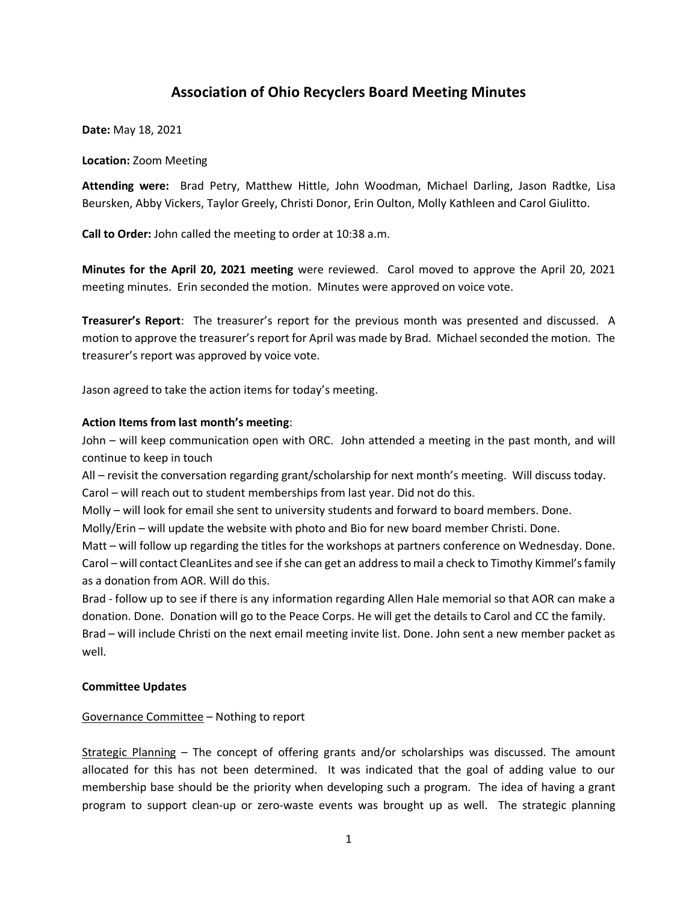# **Association of Ohio Recyclers Board Meeting Minutes**

**Date:** May 18, 2021

## **Location:** Zoom Meeting

**Attending were:** Brad Petry, Matthew Hittle, John Woodman, Michael Darling, Jason Radtke, Lisa Beursken, Abby Vickers, Taylor Greely, Christi Donor, Erin Oulton, Molly Kathleen and Carol Giulitto.

**Call to Order:** John called the meeting to order at 10:38 a.m.

**Minutes for the April 20, 2021 meeting** were reviewed. Carol moved to approve the April 20, 2021 meeting minutes. Erin seconded the motion. Minutes were approved on voice vote.

**Treasurer's Report**: The treasurer's report for the previous month was presented and discussed. A motion to approve the treasurer's report for April was made by Brad. Michael seconded the motion. The treasurer's report was approved by voice vote.

Jason agreed to take the action items for today's meeting.

### **Action Items from last month's meeting**:

John – will keep communication open with ORC. John attended a meeting in the past month, and will continue to keep in touch

All – revisit the conversation regarding grant/scholarship for next month's meeting. Will discuss today. Carol – will reach out to student memberships from last year. Did not do this.

Molly – will look for email she sent to university students and forward to board members. Done.

Molly/Erin – will update the website with photo and Bio for new board member Christi. Done.

Matt – will follow up regarding the titles for the workshops at partners conference on Wednesday. Done. Carol – will contact CleanLites and see if she can get an address to mail a check to Timothy Kimmel's family as a donation from AOR. Will do this.

Brad - follow up to see if there is any information regarding Allen Hale memorial so that AOR can make a donation. Done. Donation will go to the Peace Corps. He will get the details to Carol and CC the family. Brad – will include Christi on the next email meeting invite list. Done. John sent a new member packet as well.

# **Committee Updates**

# Governance Committee – Nothing to report

Strategic Planning – The concept of offering grants and/or scholarships was discussed. The amount allocated for this has not been determined. It was indicated that the goal of adding value to our membership base should be the priority when developing such a program. The idea of having a grant program to support clean-up or zero-waste events was brought up as well. The strategic planning